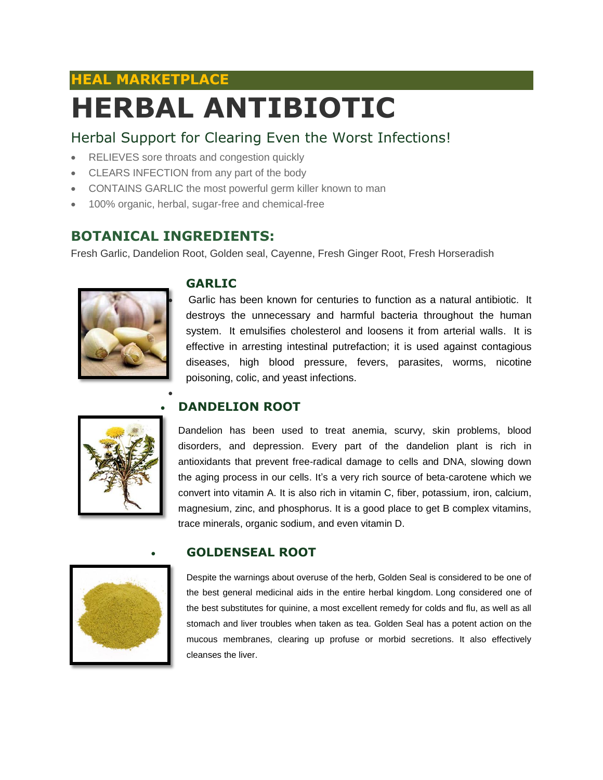# **HEAL MARKETPLACE HERBAL ANTIBIOTIC**

## Herbal Support for Clearing Even the Worst Infections!

- RELIEVES sore throats and congestion quickly
- CLEARS INFECTION from any part of the body
- CONTAINS GARLIC the most powerful germ killer known to man
- 100% organic, herbal, sugar-free and chemical-free

### **BOTANICAL INGREDIENTS:**

 $\bullet$ 

Fresh Garlic, Dandelion Root, Golden seal, Cayenne, Fresh Ginger Root, Fresh Horseradish



#### **GARLIC**

 Garlic has been known for centuries to function as a natural antibiotic. It destroys the unnecessary and harmful bacteria throughout the human system. It emulsifies cholesterol and loosens it from arterial walls. It is effective in arresting intestinal putrefaction; it is used against contagious diseases, high blood pressure, fevers, parasites, worms, nicotine poisoning, colic, and yeast infections.



#### **DANDELION ROOT**

Dandelion has been used to treat anemia, scurvy, skin problems, blood disorders, and depression. Every part of the dandelion plant is rich in antioxidants that prevent free-radical damage to cells and DNA, slowing down the aging process in our cells. It's a very rich source of beta-carotene which we convert into vitamin A. It is also rich in vitamin C, fiber, potassium, iron, calcium, magnesium, zinc, and phosphorus. It is a good place to get B complex vitamins, trace minerals, organic sodium, and even vitamin D.



#### **GOLDENSEAL ROOT**

Despite the warnings about overuse of the herb, Golden Seal is considered to be one of the best general medicinal aids in the entire herbal kingdom. Long considered one of the best substitutes for quinine, a most excellent remedy for colds and flu, as well as all stomach and liver troubles when taken as tea. Golden Seal has a potent action on the mucous membranes, clearing up profuse or morbid secretions. It also effectively cleanses the liver.